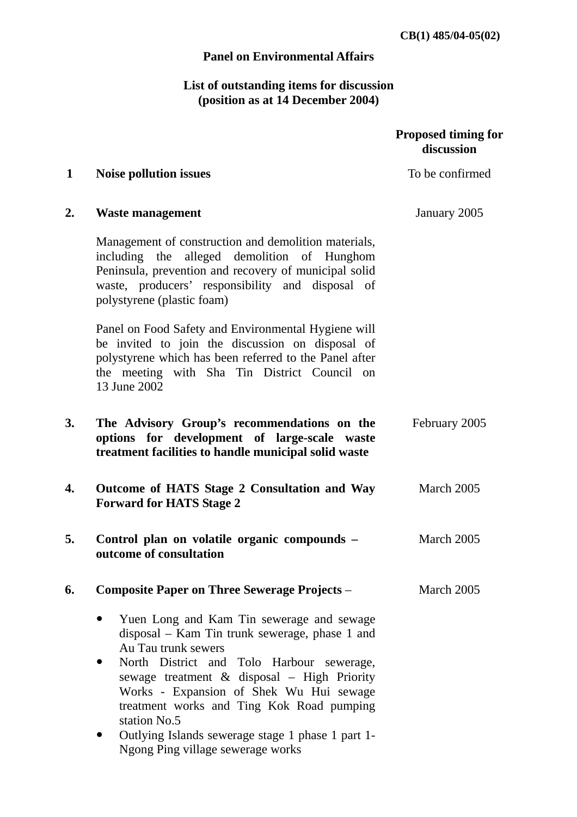**CB(1) 485/04-05(02)** 

## **Panel on Environmental Affairs**

## **List of outstanding items for discussion (position as at 14 December 2004)**

|    |                                                                                                                                                                                                                                                                                                                                                                                                                  | <b>Proposed timing for</b><br>discussion |
|----|------------------------------------------------------------------------------------------------------------------------------------------------------------------------------------------------------------------------------------------------------------------------------------------------------------------------------------------------------------------------------------------------------------------|------------------------------------------|
| 1  | <b>Noise pollution issues</b>                                                                                                                                                                                                                                                                                                                                                                                    | To be confirmed                          |
| 2. | <b>Waste management</b>                                                                                                                                                                                                                                                                                                                                                                                          | January 2005                             |
|    | Management of construction and demolition materials,<br>including the alleged demolition of Hunghom<br>Peninsula, prevention and recovery of municipal solid<br>waste, producers' responsibility and disposal of<br>polystyrene (plastic foam)                                                                                                                                                                   |                                          |
|    | Panel on Food Safety and Environmental Hygiene will<br>be invited to join the discussion on disposal of<br>polystyrene which has been referred to the Panel after<br>the meeting with Sha Tin District Council on<br>13 June 2002                                                                                                                                                                                |                                          |
| 3. | The Advisory Group's recommendations on the<br>options for development of large-scale waste<br>treatment facilities to handle municipal solid waste                                                                                                                                                                                                                                                              | February 2005                            |
| 4. | Outcome of HATS Stage 2 Consultation and Way<br><b>Forward for HATS Stage 2</b>                                                                                                                                                                                                                                                                                                                                  | March 2005                               |
| 5. | Control plan on volatile organic compounds -<br>outcome of consultation                                                                                                                                                                                                                                                                                                                                          | March 2005                               |
| 6. | <b>Composite Paper on Three Sewerage Projects -</b>                                                                                                                                                                                                                                                                                                                                                              | March 2005                               |
|    | Yuen Long and Kam Tin sewerage and sewage<br>disposal – Kam Tin trunk sewerage, phase 1 and<br>Au Tau trunk sewers<br>North District and Tolo Harbour sewerage,<br>sewage treatment & disposal - High Priority<br>Works - Expansion of Shek Wu Hui sewage<br>treatment works and Ting Kok Road pumping<br>station No.5<br>Outlying Islands sewerage stage 1 phase 1 part 1-<br>Ngong Ping village sewerage works |                                          |